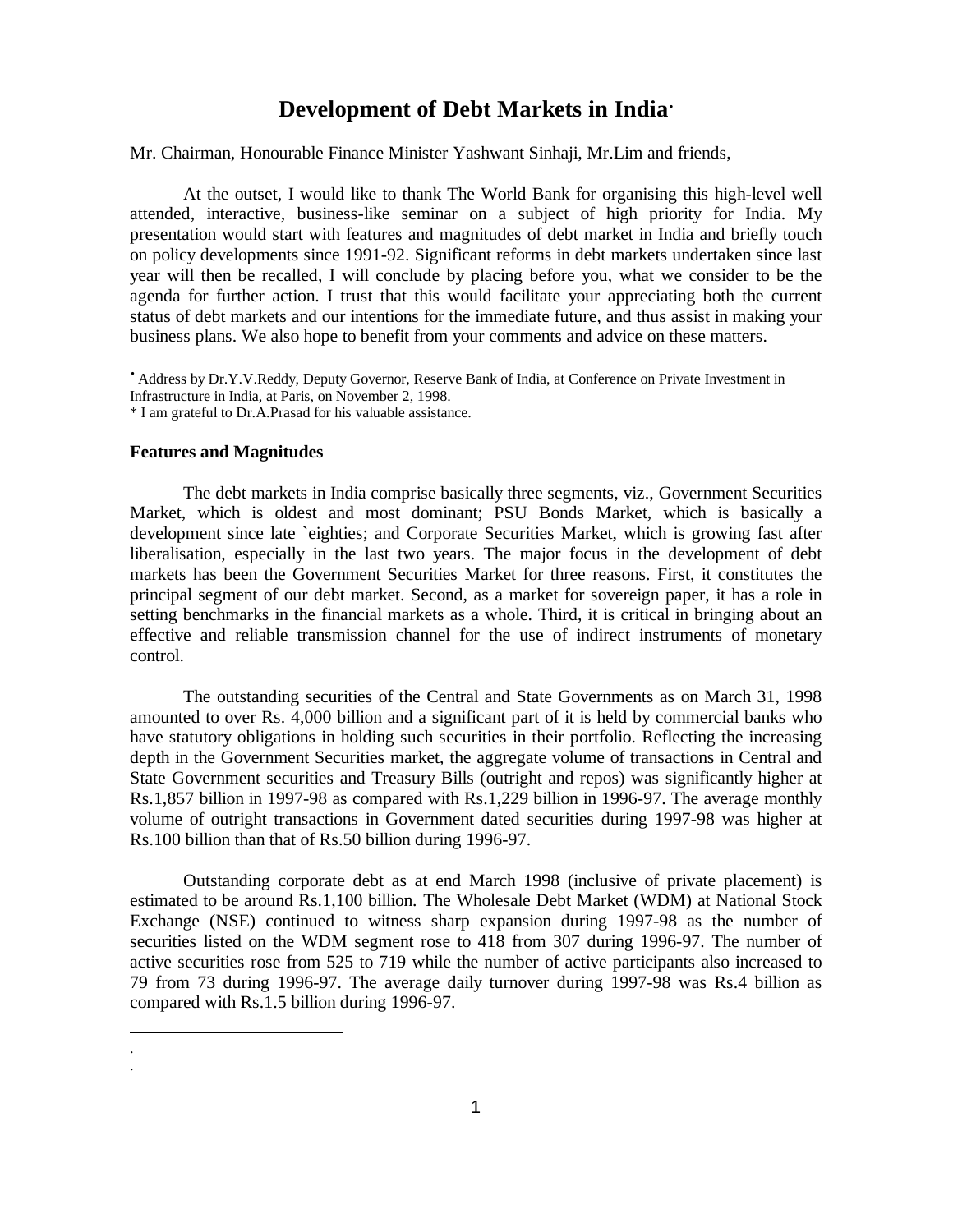# **Development of Debt Markets in India·**

Mr. Chairman, Honourable Finance Minister Yashwant Sinhaji, Mr.Lim and friends,

At the outset, I would like to thank The World Bank for organising this high-level well attended, interactive, business-like seminar on a subject of high priority for India. My presentation would start with features and magnitudes of debt market in India and briefly touch on policy developments since 1991-92. Significant reforms in debt markets undertaken since last year will then be recalled, I will conclude by placing before you, what we consider to be the agenda for further action. I trust that this would facilitate your appreciating both the current status of debt markets and our intentions for the immediate future, and thus assist in making your business plans. We also hope to benefit from your comments and advice on these matters.

# **Features and Magnitudes**

-. .

The debt markets in India comprise basically three segments, viz., Government Securities Market, which is oldest and most dominant; PSU Bonds Market, which is basically a development since late `eighties; and Corporate Securities Market, which is growing fast after liberalisation, especially in the last two years. The major focus in the development of debt markets has been the Government Securities Market for three reasons. First, it constitutes the principal segment of our debt market. Second, as a market for sovereign paper, it has a role in setting benchmarks in the financial markets as a whole. Third, it is critical in bringing about an effective and reliable transmission channel for the use of indirect instruments of monetary control.

The outstanding securities of the Central and State Governments as on March 31, 1998 amounted to over Rs. 4,000 billion and a significant part of it is held by commercial banks who have statutory obligations in holding such securities in their portfolio. Reflecting the increasing depth in the Government Securities market, the aggregate volume of transactions in Central and State Government securities and Treasury Bills (outright and repos) was significantly higher at Rs.1,857 billion in 1997-98 as compared with Rs.1,229 billion in 1996-97. The average monthly volume of outright transactions in Government dated securities during 1997-98 was higher at Rs.100 billion than that of Rs.50 billion during 1996-97.

Outstanding corporate debt as at end March 1998 (inclusive of private placement) is estimated to be around Rs.1,100 billion. The Wholesale Debt Market (WDM) at National Stock Exchange (NSE) continued to witness sharp expansion during 1997-98 as the number of securities listed on the WDM segment rose to 418 from 307 during 1996-97. The number of active securities rose from 525 to 719 while the number of active participants also increased to 79 from 73 during 1996-97. The average daily turnover during 1997-98 was Rs.4 billion as compared with Rs.1.5 billion during 1996-97.

**<sup>·</sup>**Address by Dr.Y.V.Reddy, Deputy Governor, Reserve Bank of India, at Conference on Private Investment in Infrastructure in India, at Paris, on November 2, 1998.

<sup>\*</sup> I am grateful to Dr.A.Prasad for his valuable assistance.

<sup>1</sup>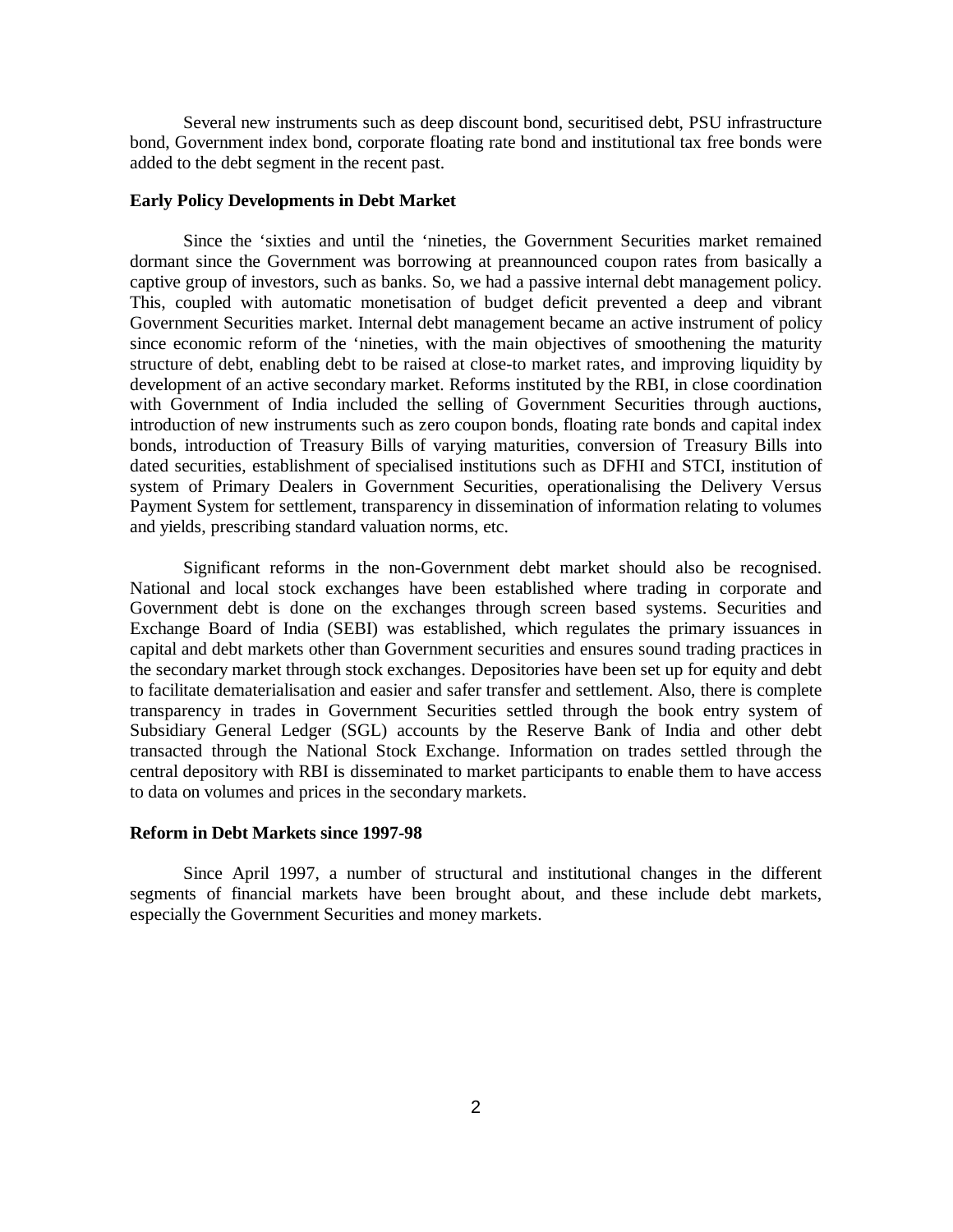Several new instruments such as deep discount bond, securitised debt, PSU infrastructure bond, Government index bond, corporate floating rate bond and institutional tax free bonds were added to the debt segment in the recent past.

# **Early Policy Developments in Debt Market**

Since the 'sixties and until the 'nineties, the Government Securities market remained dormant since the Government was borrowing at preannounced coupon rates from basically a captive group of investors, such as banks. So, we had a passive internal debt management policy. This, coupled with automatic monetisation of budget deficit prevented a deep and vibrant Government Securities market. Internal debt management became an active instrument of policy since economic reform of the 'nineties, with the main objectives of smoothening the maturity structure of debt, enabling debt to be raised at close-to market rates, and improving liquidity by development of an active secondary market. Reforms instituted by the RBI, in close coordination with Government of India included the selling of Government Securities through auctions, introduction of new instruments such as zero coupon bonds, floating rate bonds and capital index bonds, introduction of Treasury Bills of varying maturities, conversion of Treasury Bills into dated securities, establishment of specialised institutions such as DFHI and STCI, institution of system of Primary Dealers in Government Securities, operationalising the Delivery Versus Payment System for settlement, transparency in dissemination of information relating to volumes and yields, prescribing standard valuation norms, etc.

Significant reforms in the non-Government debt market should also be recognised. National and local stock exchanges have been established where trading in corporate and Government debt is done on the exchanges through screen based systems. Securities and Exchange Board of India (SEBI) was established, which regulates the primary issuances in capital and debt markets other than Government securities and ensures sound trading practices in the secondary market through stock exchanges. Depositories have been set up for equity and debt to facilitate dematerialisation and easier and safer transfer and settlement. Also, there is complete transparency in trades in Government Securities settled through the book entry system of Subsidiary General Ledger (SGL) accounts by the Reserve Bank of India and other debt transacted through the National Stock Exchange. Information on trades settled through the central depository with RBI is disseminated to market participants to enable them to have access to data on volumes and prices in the secondary markets.

# **Reform in Debt Markets since 1997-98**

Since April 1997, a number of structural and institutional changes in the different segments of financial markets have been brought about, and these include debt markets, especially the Government Securities and money markets.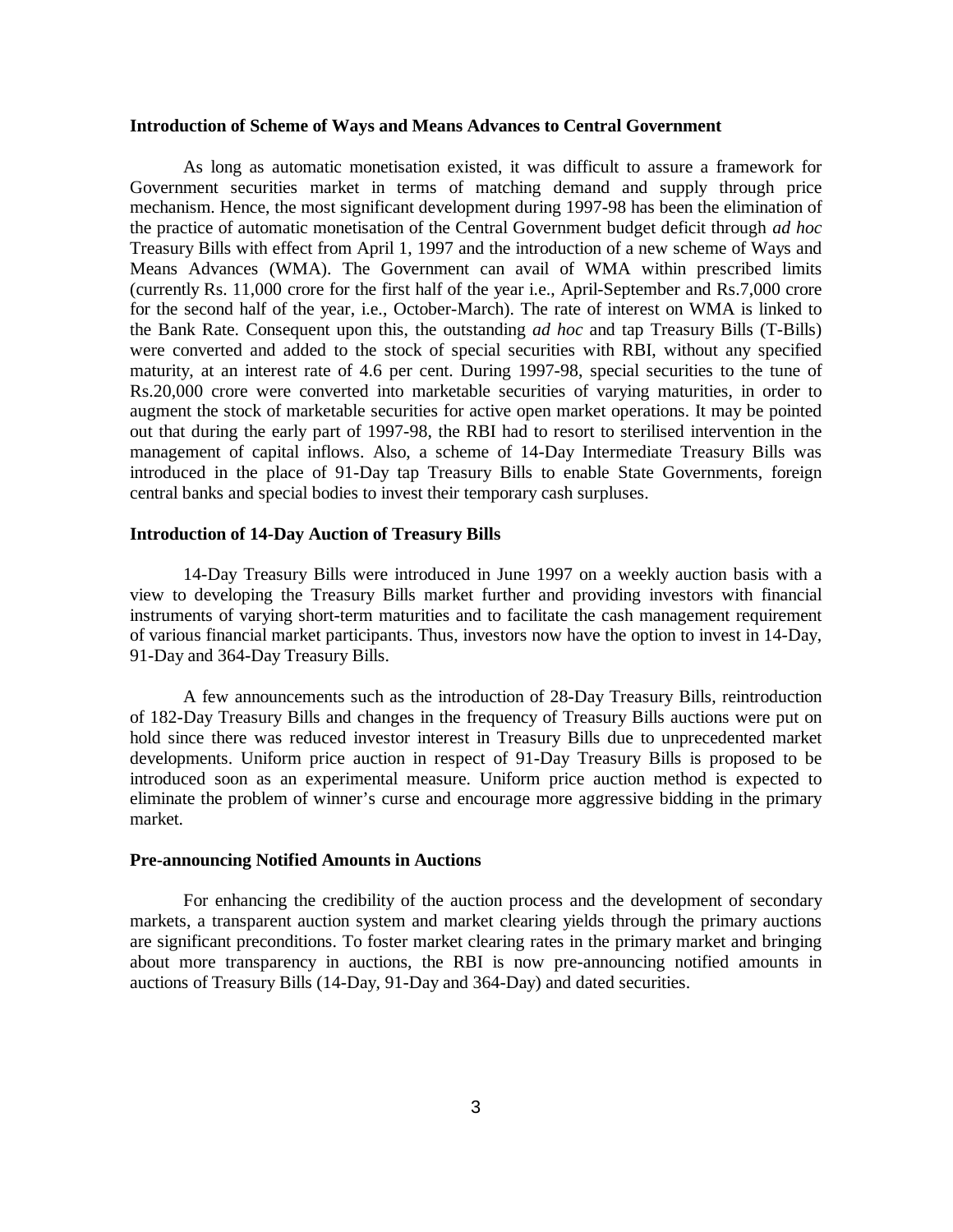#### **Introduction of Scheme of Ways and Means Advances to Central Government**

As long as automatic monetisation existed, it was difficult to assure a framework for Government securities market in terms of matching demand and supply through price mechanism. Hence, the most significant development during 1997-98 has been the elimination of the practice of automatic monetisation of the Central Government budget deficit through *ad hoc* Treasury Bills with effect from April 1, 1997 and the introduction of a new scheme of Ways and Means Advances (WMA). The Government can avail of WMA within prescribed limits (currently Rs. 11,000 crore for the first half of the year i.e., April-September and Rs.7,000 crore for the second half of the year, i.e., October-March). The rate of interest on WMA is linked to the Bank Rate. Consequent upon this, the outstanding *ad hoc* and tap Treasury Bills (T-Bills) were converted and added to the stock of special securities with RBI, without any specified maturity, at an interest rate of 4.6 per cent. During 1997-98, special securities to the tune of Rs.20,000 crore were converted into marketable securities of varying maturities, in order to augment the stock of marketable securities for active open market operations. It may be pointed out that during the early part of 1997-98, the RBI had to resort to sterilised intervention in the management of capital inflows. Also, a scheme of 14-Day Intermediate Treasury Bills was introduced in the place of 91-Day tap Treasury Bills to enable State Governments, foreign central banks and special bodies to invest their temporary cash surpluses.

### **Introduction of 14-Day Auction of Treasury Bills**

14-Day Treasury Bills were introduced in June 1997 on a weekly auction basis with a view to developing the Treasury Bills market further and providing investors with financial instruments of varying short-term maturities and to facilitate the cash management requirement of various financial market participants. Thus, investors now have the option to invest in 14-Day, 91-Day and 364-Day Treasury Bills.

A few announcements such as the introduction of 28-Day Treasury Bills, reintroduction of 182-Day Treasury Bills and changes in the frequency of Treasury Bills auctions were put on hold since there was reduced investor interest in Treasury Bills due to unprecedented market developments. Uniform price auction in respect of 91-Day Treasury Bills is proposed to be introduced soon as an experimental measure. Uniform price auction method is expected to eliminate the problem of winner's curse and encourage more aggressive bidding in the primary market.

# **Pre-announcing Notified Amounts in Auctions**

For enhancing the credibility of the auction process and the development of secondary markets, a transparent auction system and market clearing yields through the primary auctions are significant preconditions. To foster market clearing rates in the primary market and bringing about more transparency in auctions, the RBI is now pre-announcing notified amounts in auctions of Treasury Bills (14-Day, 91-Day and 364-Day) and dated securities.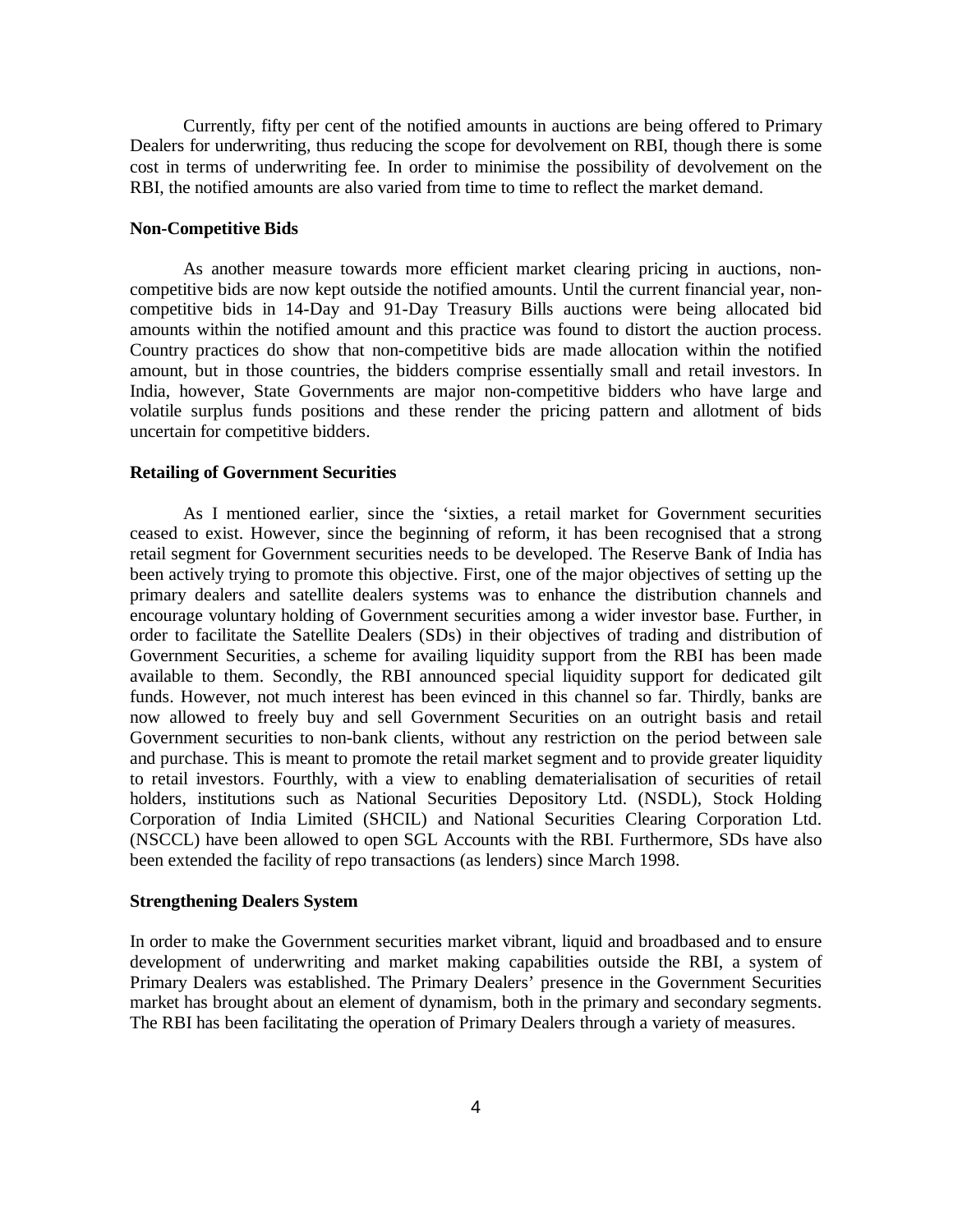Currently, fifty per cent of the notified amounts in auctions are being offered to Primary Dealers for underwriting, thus reducing the scope for devolvement on RBI, though there is some cost in terms of underwriting fee. In order to minimise the possibility of devolvement on the RBI, the notified amounts are also varied from time to time to reflect the market demand.

### **Non-Competitive Bids**

As another measure towards more efficient market clearing pricing in auctions, noncompetitive bids are now kept outside the notified amounts. Until the current financial year, noncompetitive bids in 14-Day and 91-Day Treasury Bills auctions were being allocated bid amounts within the notified amount and this practice was found to distort the auction process. Country practices do show that non-competitive bids are made allocation within the notified amount, but in those countries, the bidders comprise essentially small and retail investors. In India, however, State Governments are major non-competitive bidders who have large and volatile surplus funds positions and these render the pricing pattern and allotment of bids uncertain for competitive bidders.

### **Retailing of Government Securities**

As I mentioned earlier, since the 'sixties, a retail market for Government securities ceased to exist. However, since the beginning of reform, it has been recognised that a strong retail segment for Government securities needs to be developed. The Reserve Bank of India has been actively trying to promote this objective. First, one of the major objectives of setting up the primary dealers and satellite dealers systems was to enhance the distribution channels and encourage voluntary holding of Government securities among a wider investor base. Further, in order to facilitate the Satellite Dealers (SDs) in their objectives of trading and distribution of Government Securities, a scheme for availing liquidity support from the RBI has been made available to them. Secondly, the RBI announced special liquidity support for dedicated gilt funds. However, not much interest has been evinced in this channel so far. Thirdly, banks are now allowed to freely buy and sell Government Securities on an outright basis and retail Government securities to non-bank clients, without any restriction on the period between sale and purchase. This is meant to promote the retail market segment and to provide greater liquidity to retail investors. Fourthly, with a view to enabling dematerialisation of securities of retail holders, institutions such as National Securities Depository Ltd. (NSDL), Stock Holding Corporation of India Limited (SHCIL) and National Securities Clearing Corporation Ltd. (NSCCL) have been allowed to open SGL Accounts with the RBI. Furthermore, SDs have also been extended the facility of repo transactions (as lenders) since March 1998.

# **Strengthening Dealers System**

In order to make the Government securities market vibrant, liquid and broadbased and to ensure development of underwriting and market making capabilities outside the RBI, a system of Primary Dealers was established. The Primary Dealers' presence in the Government Securities market has brought about an element of dynamism, both in the primary and secondary segments. The RBI has been facilitating the operation of Primary Dealers through a variety of measures.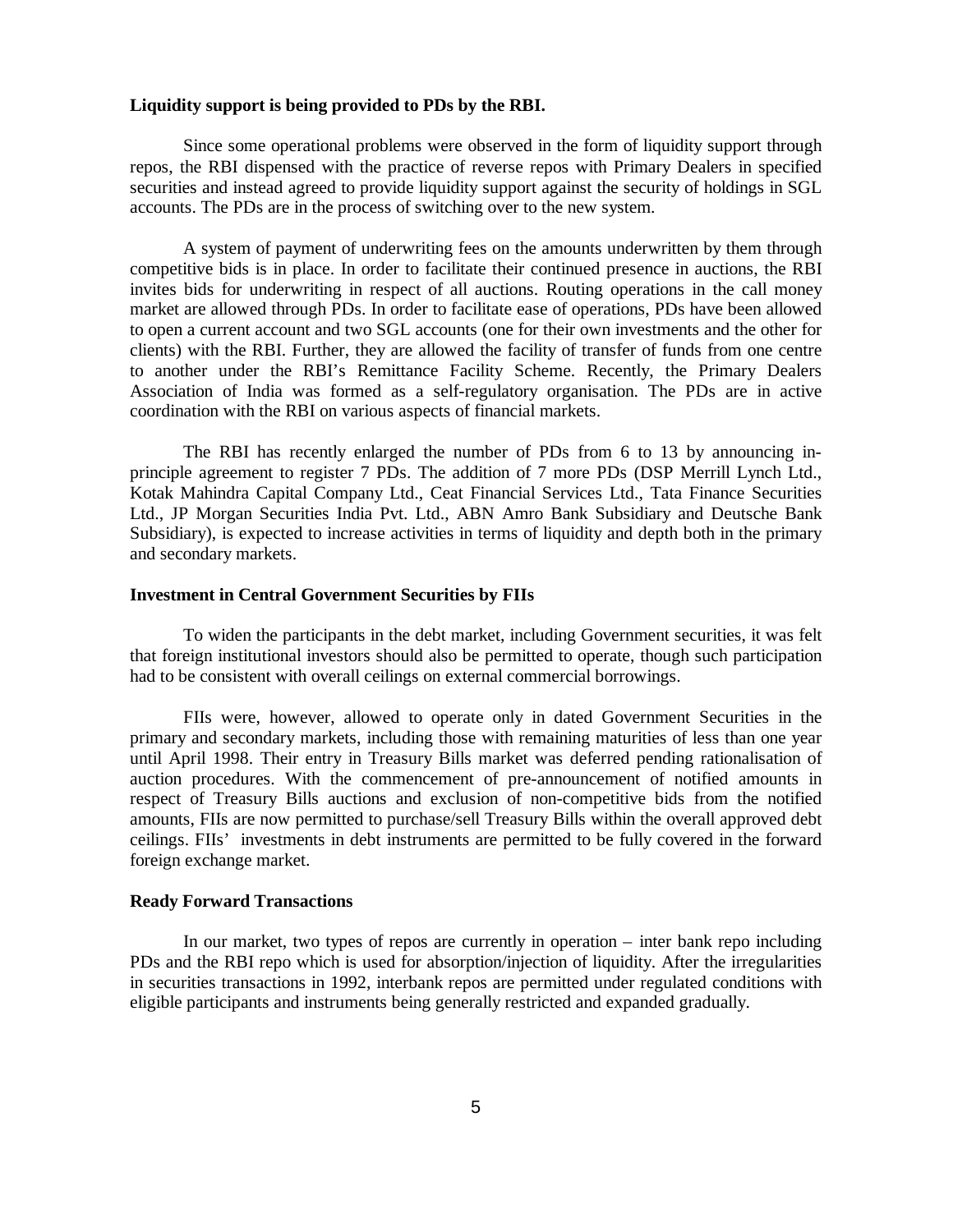### **Liquidity support is being provided to PDs by the RBI.**

Since some operational problems were observed in the form of liquidity support through repos, the RBI dispensed with the practice of reverse repos with Primary Dealers in specified securities and instead agreed to provide liquidity support against the security of holdings in SGL accounts. The PDs are in the process of switching over to the new system.

A system of payment of underwriting fees on the amounts underwritten by them through competitive bids is in place. In order to facilitate their continued presence in auctions, the RBI invites bids for underwriting in respect of all auctions. Routing operations in the call money market are allowed through PDs. In order to facilitate ease of operations, PDs have been allowed to open a current account and two SGL accounts (one for their own investments and the other for clients) with the RBI. Further, they are allowed the facility of transfer of funds from one centre to another under the RBI's Remittance Facility Scheme. Recently, the Primary Dealers Association of India was formed as a self-regulatory organisation. The PDs are in active coordination with the RBI on various aspects of financial markets.

The RBI has recently enlarged the number of PDs from 6 to 13 by announcing inprinciple agreement to register 7 PDs. The addition of 7 more PDs (DSP Merrill Lynch Ltd., Kotak Mahindra Capital Company Ltd., Ceat Financial Services Ltd., Tata Finance Securities Ltd., JP Morgan Securities India Pvt. Ltd., ABN Amro Bank Subsidiary and Deutsche Bank Subsidiary), is expected to increase activities in terms of liquidity and depth both in the primary and secondary markets.

### **Investment in Central Government Securities by FIIs**

To widen the participants in the debt market, including Government securities, it was felt that foreign institutional investors should also be permitted to operate, though such participation had to be consistent with overall ceilings on external commercial borrowings.

FIIs were, however, allowed to operate only in dated Government Securities in the primary and secondary markets, including those with remaining maturities of less than one year until April 1998. Their entry in Treasury Bills market was deferred pending rationalisation of auction procedures. With the commencement of pre-announcement of notified amounts in respect of Treasury Bills auctions and exclusion of non-competitive bids from the notified amounts, FIIs are now permitted to purchase/sell Treasury Bills within the overall approved debt ceilings. FIIs' investments in debt instruments are permitted to be fully covered in the forward foreign exchange market.

# **Ready Forward Transactions**

In our market, two types of repos are currently in operation – inter bank repo including PDs and the RBI repo which is used for absorption/injection of liquidity. After the irregularities in securities transactions in 1992, interbank repos are permitted under regulated conditions with eligible participants and instruments being generally restricted and expanded gradually.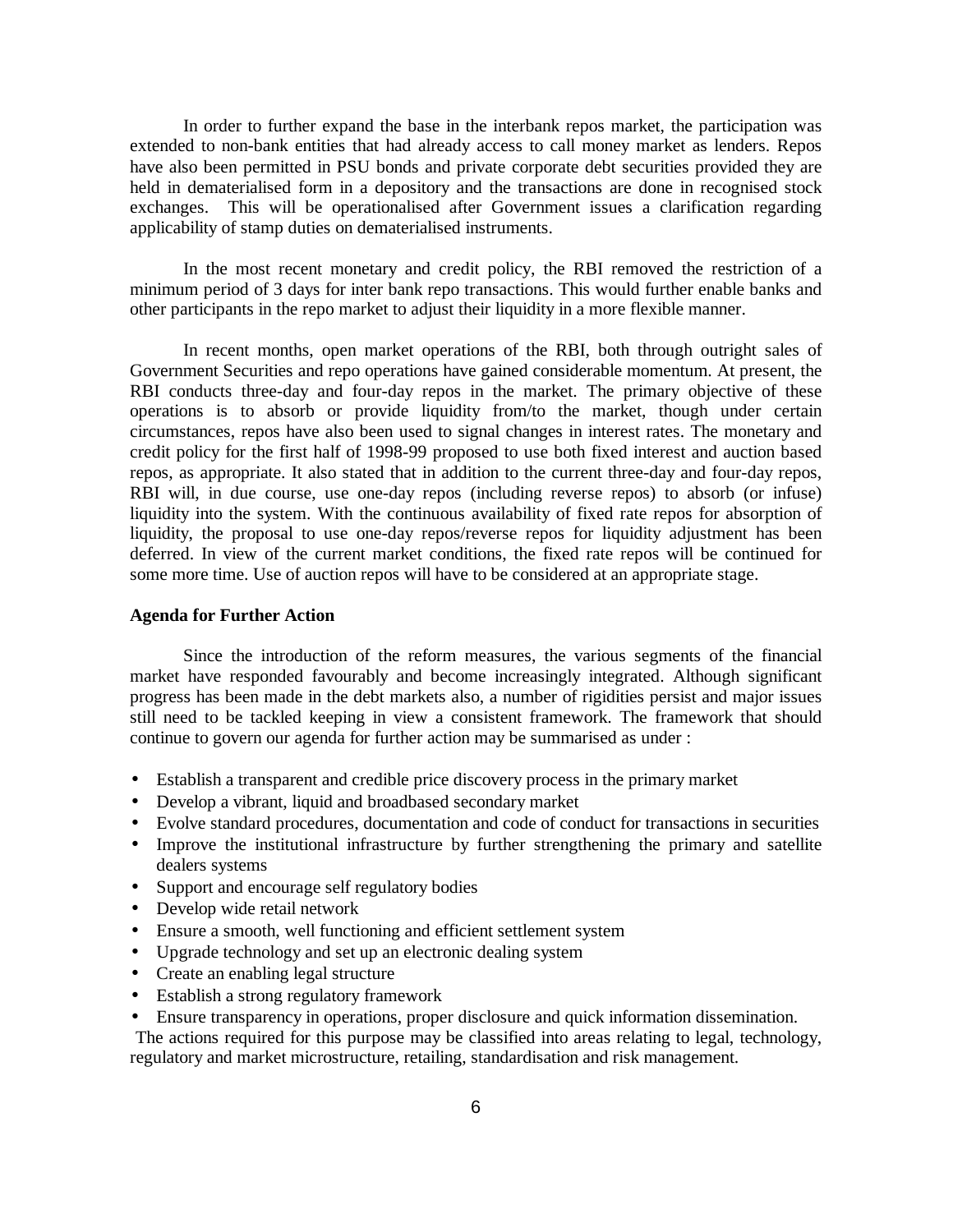In order to further expand the base in the interbank repos market, the participation was extended to non-bank entities that had already access to call money market as lenders. Repos have also been permitted in PSU bonds and private corporate debt securities provided they are held in dematerialised form in a depository and the transactions are done in recognised stock exchanges. This will be operationalised after Government issues a clarification regarding applicability of stamp duties on dematerialised instruments.

In the most recent monetary and credit policy, the RBI removed the restriction of a minimum period of 3 days for inter bank repo transactions. This would further enable banks and other participants in the repo market to adjust their liquidity in a more flexible manner.

In recent months, open market operations of the RBI, both through outright sales of Government Securities and repo operations have gained considerable momentum. At present, the RBI conducts three-day and four-day repos in the market. The primary objective of these operations is to absorb or provide liquidity from/to the market, though under certain circumstances, repos have also been used to signal changes in interest rates. The monetary and credit policy for the first half of 1998-99 proposed to use both fixed interest and auction based repos, as appropriate. It also stated that in addition to the current three-day and four-day repos, RBI will, in due course, use one-day repos (including reverse repos) to absorb (or infuse) liquidity into the system. With the continuous availability of fixed rate repos for absorption of liquidity, the proposal to use one-day repos/reverse repos for liquidity adjustment has been deferred. In view of the current market conditions, the fixed rate repos will be continued for some more time. Use of auction repos will have to be considered at an appropriate stage.

# **Agenda for Further Action**

Since the introduction of the reform measures, the various segments of the financial market have responded favourably and become increasingly integrated. Although significant progress has been made in the debt markets also, a number of rigidities persist and major issues still need to be tackled keeping in view a consistent framework. The framework that should continue to govern our agenda for further action may be summarised as under :

- Establish a transparent and credible price discovery process in the primary market
- Develop a vibrant, liquid and broadbased secondary market
- Evolve standard procedures, documentation and code of conduct for transactions in securities
- Improve the institutional infrastructure by further strengthening the primary and satellite dealers systems
- Support and encourage self regulatory bodies
- Develop wide retail network
- Ensure a smooth, well functioning and efficient settlement system
- Upgrade technology and set up an electronic dealing system
- Create an enabling legal structure
- Establish a strong regulatory framework
- Ensure transparency in operations, proper disclosure and quick information dissemination.

 The actions required for this purpose may be classified into areas relating to legal, technology, regulatory and market microstructure, retailing, standardisation and risk management.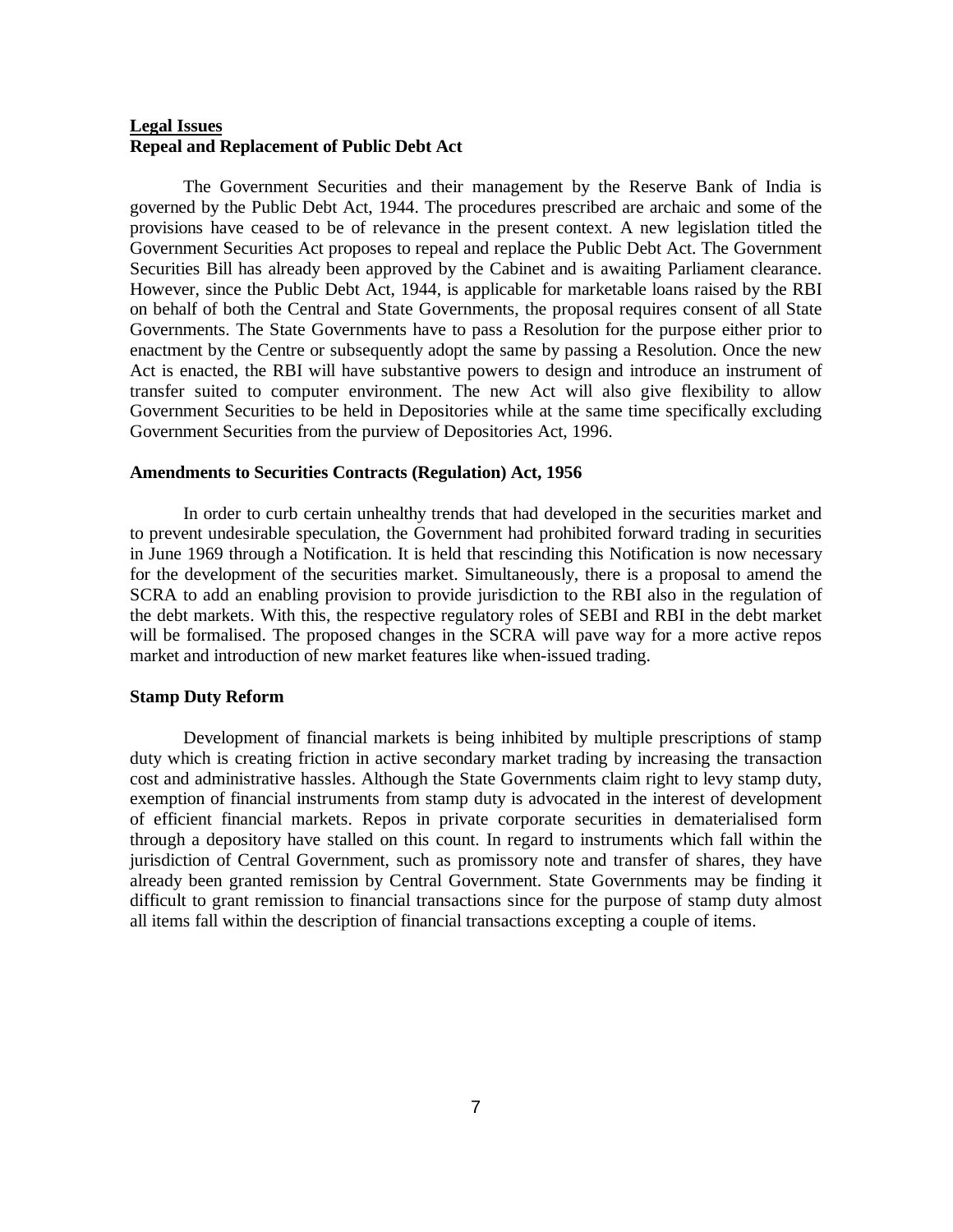# **Legal Issues Repeal and Replacement of Public Debt Act**

The Government Securities and their management by the Reserve Bank of India is governed by the Public Debt Act, 1944. The procedures prescribed are archaic and some of the provisions have ceased to be of relevance in the present context. A new legislation titled the Government Securities Act proposes to repeal and replace the Public Debt Act. The Government Securities Bill has already been approved by the Cabinet and is awaiting Parliament clearance. However, since the Public Debt Act, 1944, is applicable for marketable loans raised by the RBI on behalf of both the Central and State Governments, the proposal requires consent of all State Governments. The State Governments have to pass a Resolution for the purpose either prior to enactment by the Centre or subsequently adopt the same by passing a Resolution. Once the new Act is enacted, the RBI will have substantive powers to design and introduce an instrument of transfer suited to computer environment. The new Act will also give flexibility to allow Government Securities to be held in Depositories while at the same time specifically excluding Government Securities from the purview of Depositories Act, 1996.

### **Amendments to Securities Contracts (Regulation) Act, 1956**

In order to curb certain unhealthy trends that had developed in the securities market and to prevent undesirable speculation, the Government had prohibited forward trading in securities in June 1969 through a Notification. It is held that rescinding this Notification is now necessary for the development of the securities market. Simultaneously, there is a proposal to amend the SCRA to add an enabling provision to provide jurisdiction to the RBI also in the regulation of the debt markets. With this, the respective regulatory roles of SEBI and RBI in the debt market will be formalised. The proposed changes in the SCRA will pave way for a more active repos market and introduction of new market features like when-issued trading.

# **Stamp Duty Reform**

Development of financial markets is being inhibited by multiple prescriptions of stamp duty which is creating friction in active secondary market trading by increasing the transaction cost and administrative hassles. Although the State Governments claim right to levy stamp duty, exemption of financial instruments from stamp duty is advocated in the interest of development of efficient financial markets. Repos in private corporate securities in dematerialised form through a depository have stalled on this count. In regard to instruments which fall within the jurisdiction of Central Government, such as promissory note and transfer of shares, they have already been granted remission by Central Government. State Governments may be finding it difficult to grant remission to financial transactions since for the purpose of stamp duty almost all items fall within the description of financial transactions excepting a couple of items.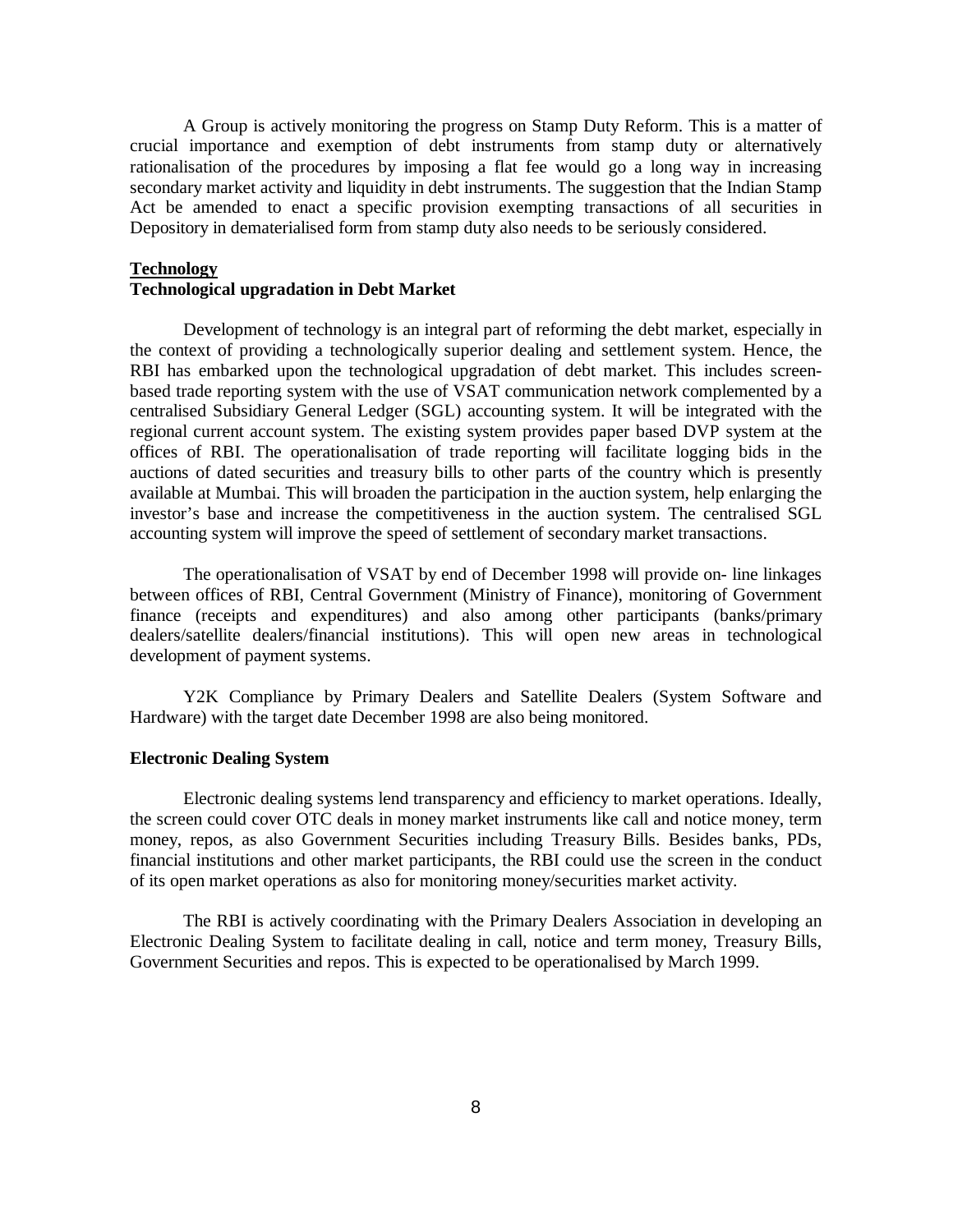A Group is actively monitoring the progress on Stamp Duty Reform. This is a matter of crucial importance and exemption of debt instruments from stamp duty or alternatively rationalisation of the procedures by imposing a flat fee would go a long way in increasing secondary market activity and liquidity in debt instruments. The suggestion that the Indian Stamp Act be amended to enact a specific provision exempting transactions of all securities in Depository in dematerialised form from stamp duty also needs to be seriously considered.

# **Technology**

# **Technological upgradation in Debt Market**

Development of technology is an integral part of reforming the debt market, especially in the context of providing a technologically superior dealing and settlement system. Hence, the RBI has embarked upon the technological upgradation of debt market. This includes screenbased trade reporting system with the use of VSAT communication network complemented by a centralised Subsidiary General Ledger (SGL) accounting system. It will be integrated with the regional current account system. The existing system provides paper based DVP system at the offices of RBI. The operationalisation of trade reporting will facilitate logging bids in the auctions of dated securities and treasury bills to other parts of the country which is presently available at Mumbai. This will broaden the participation in the auction system, help enlarging the investor's base and increase the competitiveness in the auction system. The centralised SGL accounting system will improve the speed of settlement of secondary market transactions.

The operationalisation of VSAT by end of December 1998 will provide on- line linkages between offices of RBI, Central Government (Ministry of Finance), monitoring of Government finance (receipts and expenditures) and also among other participants (banks/primary dealers/satellite dealers/financial institutions). This will open new areas in technological development of payment systems.

Y2K Compliance by Primary Dealers and Satellite Dealers (System Software and Hardware) with the target date December 1998 are also being monitored.

### **Electronic Dealing System**

Electronic dealing systems lend transparency and efficiency to market operations. Ideally, the screen could cover OTC deals in money market instruments like call and notice money, term money, repos, as also Government Securities including Treasury Bills. Besides banks, PDs, financial institutions and other market participants, the RBI could use the screen in the conduct of its open market operations as also for monitoring money/securities market activity.

The RBI is actively coordinating with the Primary Dealers Association in developing an Electronic Dealing System to facilitate dealing in call, notice and term money, Treasury Bills, Government Securities and repos. This is expected to be operationalised by March 1999.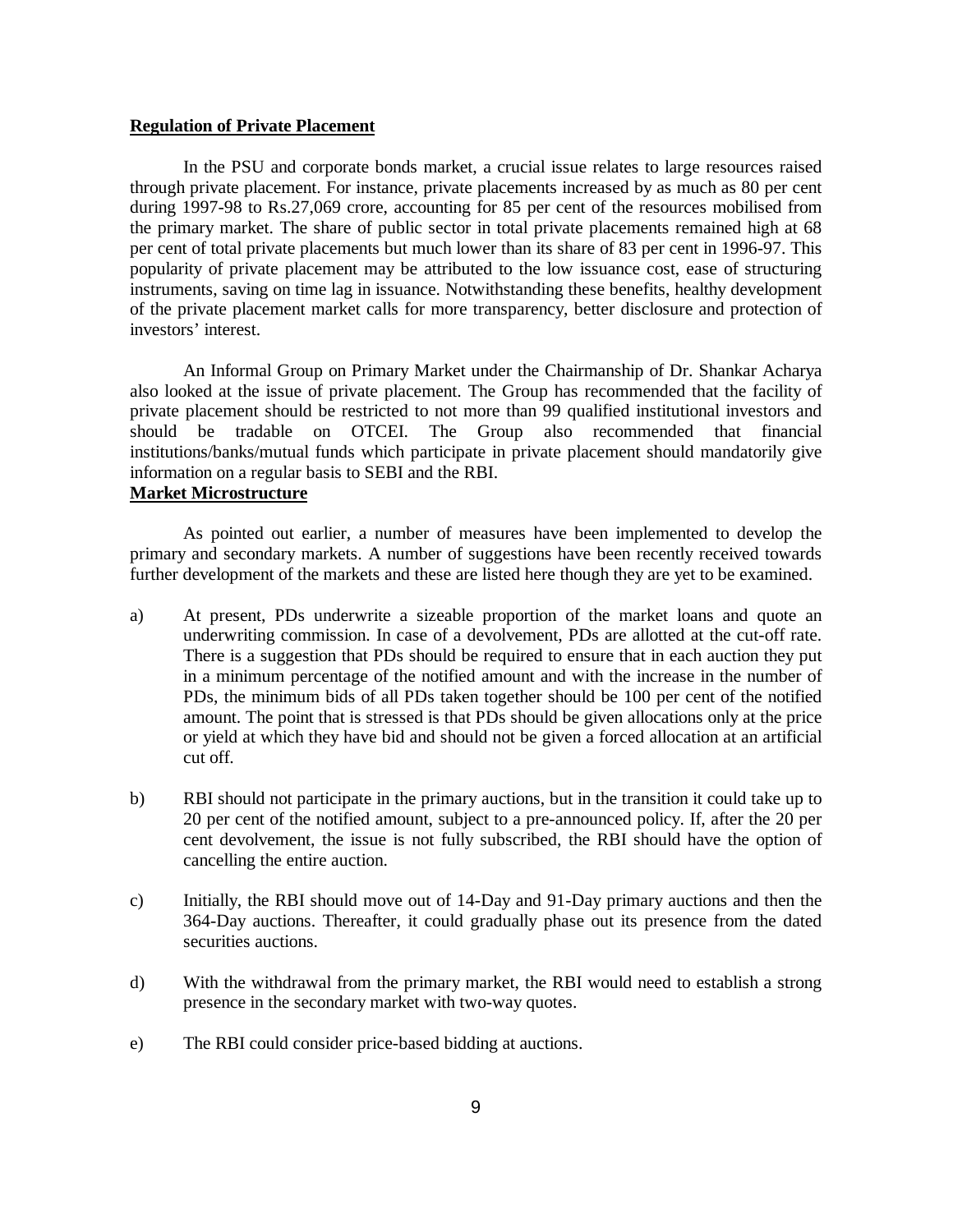### **Regulation of Private Placement**

In the PSU and corporate bonds market, a crucial issue relates to large resources raised through private placement. For instance, private placements increased by as much as 80 per cent during 1997-98 to Rs.27,069 crore, accounting for 85 per cent of the resources mobilised from the primary market. The share of public sector in total private placements remained high at 68 per cent of total private placements but much lower than its share of 83 per cent in 1996-97. This popularity of private placement may be attributed to the low issuance cost, ease of structuring instruments, saving on time lag in issuance. Notwithstanding these benefits, healthy development of the private placement market calls for more transparency, better disclosure and protection of investors' interest.

An Informal Group on Primary Market under the Chairmanship of Dr. Shankar Acharya also looked at the issue of private placement. The Group has recommended that the facility of private placement should be restricted to not more than 99 qualified institutional investors and should be tradable on OTCEI. The Group also recommended that financial institutions/banks/mutual funds which participate in private placement should mandatorily give information on a regular basis to SEBI and the RBI.

# **Market Microstructure**

As pointed out earlier, a number of measures have been implemented to develop the primary and secondary markets. A number of suggestions have been recently received towards further development of the markets and these are listed here though they are yet to be examined.

- a) At present, PDs underwrite a sizeable proportion of the market loans and quote an underwriting commission. In case of a devolvement, PDs are allotted at the cut-off rate. There is a suggestion that PDs should be required to ensure that in each auction they put in a minimum percentage of the notified amount and with the increase in the number of PDs, the minimum bids of all PDs taken together should be 100 per cent of the notified amount. The point that is stressed is that PDs should be given allocations only at the price or yield at which they have bid and should not be given a forced allocation at an artificial cut off.
- b) RBI should not participate in the primary auctions, but in the transition it could take up to 20 per cent of the notified amount, subject to a pre-announced policy. If, after the 20 per cent devolvement, the issue is not fully subscribed, the RBI should have the option of cancelling the entire auction.
- c) Initially, the RBI should move out of 14-Day and 91-Day primary auctions and then the 364-Day auctions. Thereafter, it could gradually phase out its presence from the dated securities auctions.
- d) With the withdrawal from the primary market, the RBI would need to establish a strong presence in the secondary market with two-way quotes.
- e) The RBI could consider price-based bidding at auctions.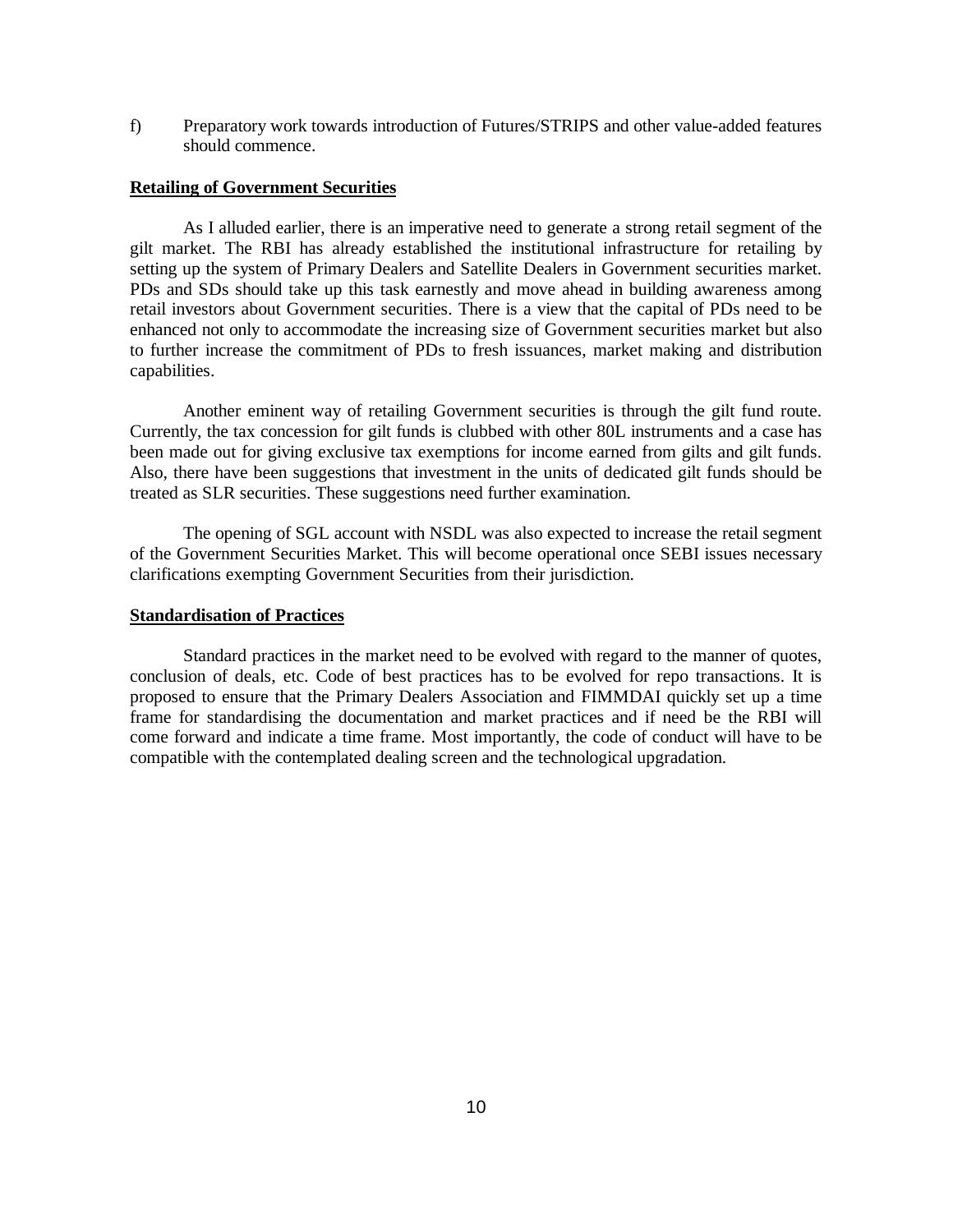f) Preparatory work towards introduction of Futures/STRIPS and other value-added features should commence.

# **Retailing of Government Securities**

As I alluded earlier, there is an imperative need to generate a strong retail segment of the gilt market. The RBI has already established the institutional infrastructure for retailing by setting up the system of Primary Dealers and Satellite Dealers in Government securities market. PDs and SDs should take up this task earnestly and move ahead in building awareness among retail investors about Government securities. There is a view that the capital of PDs need to be enhanced not only to accommodate the increasing size of Government securities market but also to further increase the commitment of PDs to fresh issuances, market making and distribution capabilities.

Another eminent way of retailing Government securities is through the gilt fund route. Currently, the tax concession for gilt funds is clubbed with other 80L instruments and a case has been made out for giving exclusive tax exemptions for income earned from gilts and gilt funds. Also, there have been suggestions that investment in the units of dedicated gilt funds should be treated as SLR securities. These suggestions need further examination.

The opening of SGL account with NSDL was also expected to increase the retail segment of the Government Securities Market. This will become operational once SEBI issues necessary clarifications exempting Government Securities from their jurisdiction.

### **Standardisation of Practices**

Standard practices in the market need to be evolved with regard to the manner of quotes, conclusion of deals, etc. Code of best practices has to be evolved for repo transactions. It is proposed to ensure that the Primary Dealers Association and FIMMDAI quickly set up a time frame for standardising the documentation and market practices and if need be the RBI will come forward and indicate a time frame. Most importantly, the code of conduct will have to be compatible with the contemplated dealing screen and the technological upgradation.